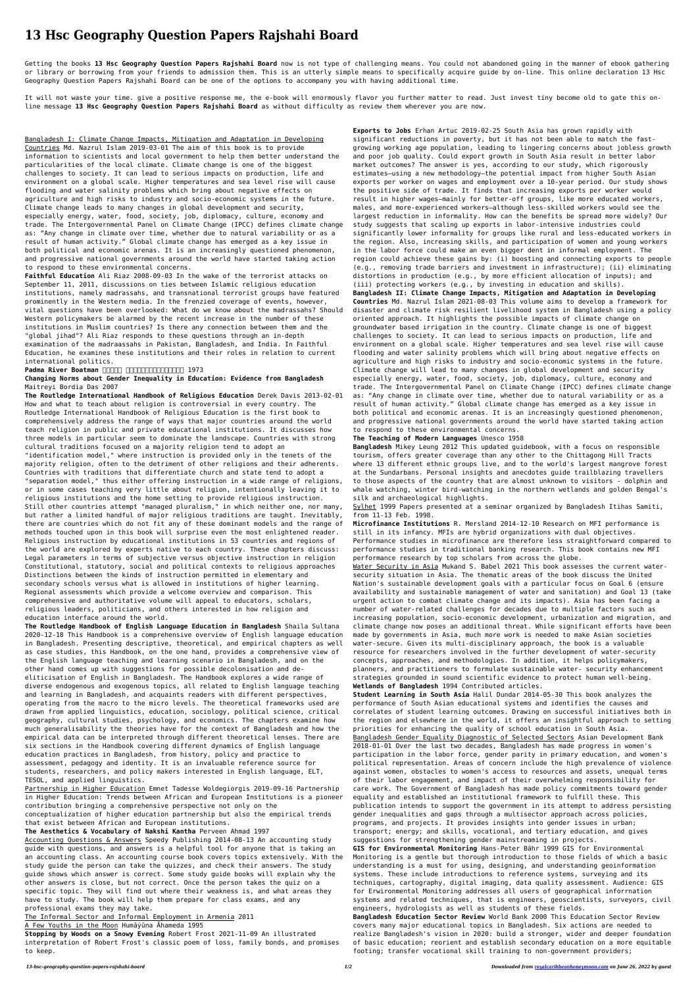## **13 Hsc Geography Question Papers Rajshahi Board**

Getting the books **13 Hsc Geography Question Papers Rajshahi Board** now is not type of challenging means. You could not abandoned going in the manner of ebook gathering or library or borrowing from your friends to admission them. This is an utterly simple means to specifically acquire guide by on-line. This online declaration 13 Hsc Geography Question Papers Rajshahi Board can be one of the options to accompany you with having additional time.

It will not waste your time. give a positive response me, the e-book will enormously flavor you further matter to read. Just invest tiny become old to gate this online message **13 Hsc Geography Question Papers Rajshahi Board** as without difficulty as review them wherever you are now.

Bangladesh I: Climate Change Impacts, Mitigation and Adaptation in Developing Countries Md. Nazrul Islam 2019-03-01 The aim of this book is to provide information to scientists and local government to help them better understand the particularities of the local climate. Climate change is one of the biggest challenges to society. It can lead to serious impacts on production, life and environment on a global scale. Higher temperatures and sea level rise will cause flooding and water salinity problems which bring about negative effects on agriculture and high risks to industry and socio-economic systems in the future. Climate change leads to many changes in global development and security, especially energy, water, food, society, job, diplomacy, culture, economy and trade. The Intergovernmental Panel on Climate Change (IPCC) defines climate change as: "Any change in climate over time, whether due to natural variability or as a result of human activity." Global climate change has emerged as a key issue in both political and economic arenas. It is an increasingly questioned phenomenon, and progressive national governments around the world have started taking action to respond to these environmental concerns.

**Faithful Education** Ali Riaz 2008-09-03 In the wake of the terrorist attacks on September 11, 2011, discussions on ties between Islamic religious education institutions, namely madrassahs, and transnational terrorist groups have featured prominently in the Western media. In the frenzied coverage of events, however, vital questions have been overlooked: What do we know about the madrassahs? Should Western policymakers be alarmed by the recent increase in the number of these institutions in Muslim countries? Is there any connection between them and the "global jihad"? Ali Riaz responds to these questions through an in-depth examination of the madraassahs in Pakistan, Bangladesh, and India. In Faithful Education, he examines these institutions and their roles in relation to current international politics.

## Padma River Boatman **And An Andron Control 1973**

## **Changing Norms about Gender Inequality in Education: Evidence from Bangladesh** Maitreyi Bordia Das 2007

**The Routledge International Handbook of Religious Education** Derek Davis 2013-02-01 How and what to teach about religion is controversial in every country. The Routledge International Handbook of Religious Education is the first book to comprehensively address the range of ways that major countries around the world teach religion in public and private educational institutions. It discusses how three models in particular seem to dominate the landscape. Countries with strong cultural traditions focused on a majority religion tend to adopt an "identification model," where instruction is provided only in the tenets of the majority religion, often to the detriment of other religions and their adherents. Countries with traditions that differentiate church and state tend to adopt a "separation model," thus either offering instruction in a wide range of religions, or in some cases teaching very little about religion, intentionally leaving it to religious institutions and the home setting to provide religious instruction. Still other countries attempt "managed pluralism," in which neither one, nor many,

The Informal Sector and Informal Employment in Armenia 2011 A Few Youths in the Moon Humāyūna Āhameda 1995

but rather a limited handful of major religious traditions are taught. Inevitably, there are countries which do not fit any of these dominant models and the range of

methods touched upon in this book will surprise even the most enlightened reader. Religious instruction by educational institutions in 53 countries and regions of the world are explored by experts native to each country. These chapters discuss: Legal parameters in terms of subjective versus objective instruction in religion Constitutional, statutory, social and political contexts to religious approaches Distinctions between the kinds of instruction permitted in elementary and secondary schools versus what is allowed in institutions of higher learning. Regional assessments which provide a welcome overview and comparison. This comprehensive and authoritative volume will appeal to educators, scholars, religious leaders, politicians, and others interested in how religion and education interface around the world.

Sylhet 1999 Papers presented at a seminar organized by Bangladesh Itihas Samiti, from 11-13 Feb. 1998.

**The Routledge Handbook of English Language Education in Bangladesh** Shaila Sultana 2020-12-18 This Handbook is a comprehensive overview of English language education in Bangladesh. Presenting descriptive, theoretical, and empirical chapters as well as case studies, this Handbook, on the one hand, provides a comprehensive view of the English language teaching and learning scenario in Bangladesh, and on the other hand comes up with suggestions for possible decolonisation and deeliticisation of English in Bangladesh. The Handbook explores a wide range of diverse endogenous and exogenous topics, all related to English language teaching and learning in Bangladesh, and acquaints readers with different perspectives, operating from the macro to the micro levels. The theoretical frameworks used are drawn from applied linguistics, education, sociology, political science, critical geography, cultural studies, psychology, and economics. The chapters examine how much generalisability the theories have for the context of Bangladesh and how the empirical data can be interpreted through different theoretical lenses. There are six sections in the Handbook covering different dynamics of English language education practices in Bangladesh, from history, policy and practice to assessment, pedagogy and identity. It is an invaluable reference source for students, researchers, and policy makers interested in English language, ELT, TESOL, and applied linguistics.

Partnership in Higher Education Emnet Tadesse Woldegiorgis 2019-09-16 Partnership in Higher Education: Trends between African and European Institutions is a pioneer contribution bringing a comprehensive perspective not only on the conceptualization of higher education partnership but also the empirical trends that exist between African and European institutions.

## **The Aesthetics & Vocabulary of Nakshi Kantha** Perveen Ahmad 1997

Accounting Questions & Answers Speedy Publishing 2014-08-13 An accounting study guide with questions, and answers is a helpful tool for anyone that is taking an an accounting class. An accounting course book covers topics extensively. With the study guide the person can take the quizzes, and check their answers. The study guide shows which answer is correct. Some study guide books will explain why the other answers is close, but not correct. Once the person takes the quiz on a specific topic. They will find out where their weakness is, and what areas they have to study. The book will help them prepare for class exams, and any professional exams they may take.

**Stopping by Woods on a Snowy Evening** Robert Frost 2021-11-09 An illustrated interpretation of Robert Frost's classic poem of loss, family bonds, and promises to keep.

**Exports to Jobs** Erhan Artuc 2019-02-25 South Asia has grown rapidly with significant reductions in poverty, but it has not been able to match the fastgrowing working age population, leading to lingering concerns about jobless growth and poor job quality. Could export growth in South Asia result in better labor market outcomes? The answer is yes, according to our study, which rigorously estimates—using a new methodology—the potential impact from higher South Asian exports per worker on wages and employment over a 10-year period. Our study shows the positive side of trade. It finds that increasing exports per worker would result in higher wages—mainly for better-off groups, like more educated workers, males, and more-experienced workers—although less-skilled workers would see the largest reduction in informality. How can the benefits be spread more widely? Our study suggests that scaling up exports in labor-intensive industries could significantly lower informality for groups like rural and less-educated workers in the region. Also, increasing skills, and participation of women and young workers in the labor force could make an even bigger dent in informal employment. The region could achieve these gains by: (i) boosting and connecting exports to people (e.g., removing trade barriers and investment in infrastructure); (ii) eliminating distortions in production (e.g., by more efficient allocation of inputs); and (iii) protecting workers (e.g., by investing in education and skills). **Bangladesh II: Climate Change Impacts, Mitigation and Adaptation in Developing Countries** Md. Nazrul Islam 2021-08-03 This volume aims to develop a framework for disaster and climate risk resilient livelihood system in Bangladesh using a policy oriented approach. It highlights the possible impacts of climate change on groundwater based irrigation in the country. Climate change is one of biggest challenges to society. It can lead to serious impacts on production, life and environment on a global scale. Higher temperatures and sea level rise will cause flooding and water salinity problems which will bring about negative effects on agriculture and high risks to industry and socio-economic systems in the future. Climate change will lead to many changes in global development and security especially energy, water, food, society, job, diplomacy, culture, economy and trade. The Intergovernmental Panel on Climate Change (IPCC) defines climate change as: "Any change in climate over time, whether due to natural variability or as a result of human activity." Global climate change has emerged as a key issue in both political and economic arenas. It is an increasingly questioned phenomenon, and progressive national governments around the world have started taking action to respond to these environmental concerns.

**The Teaching of Modern Languages** Unesco 1958

**Bangladesh** Mikey Leung 2012 This updated guidebook, with a focus on responsible tourism, offers greater coverage than any other to the Chittagong Hill Tracts where 13 different ethnic groups live, and to the world's largest mangrove forest at the Sundarbans. Personal insights and anecdotes guide trailblazing travellers to those aspects of the country that are almost unknown to visitors - dolphin and whale watching, winter bird-watching in the northern wetlands and golden Bengal's silk and archaeological highlights.

**Microfinance Institutions** R. Mersland 2014-12-10 Research on MFI performance is

still in its infancy. MFIs are hybrid organizations with dual objectives. Performance studies in microfinance are therefore less straightforward compared to performance studies in traditional banking research. This book contains new MFI performance research by top scholars from across the globe.

Water Security in Asia Mukand S. Babel 2021 This book assesses the current watersecurity situation in Asia. The thematic areas of the book discuss the United Nation's sustainable development goals with a particular focus on Goal 6 (ensure availability and sustainable management of water and sanitation) and Goal 13 (take urgent action to combat climate change and its impacts). Asia has been facing a number of water-related challenges for decades due to multiple factors such as increasing population, socio-economic development, urbanization and migration, and climate change now poses an additional threat. While significant efforts have been made by governments in Asia, much more work is needed to make Asian societies water-secure. Given its multi-disciplinary approach, the book is a valuable resource for researchers involved in the further development of water-security concepts, approaches, and methodologies. In addition, it helps policymakers, planners, and practitioners to formulate sustainable water- security enhancement strategies grounded in sound scientific evidence to protect human well-being. **Wetlands of Bangladesh** 1994 Contributed articles.

**Student Learning in South Asia** Halil Dundar 2014-05-30 This book analyzes the performance of South Asian educational systems and identifies the causes and correlates of student learning outcomes. Drawing on successful initiatives both in the region and elsewhere in the world, it offers an insightful approach to setting priorities for enhancing the quality of school education in South Asia. Bangladesh Gender Equality Diagnostic of Selected Sectors Asian Development Bank 2018-01-01 Over the last two decades, Bangladesh has made progress in women's participation in the labor force, gender parity in primary education, and women's political representation. Areas of concern include the high prevalence of violence against women, obstacles to women's access to resources and assets, unequal terms of their labor engagement, and impact of their overwhelming responsibility for care work. The Government of Bangladesh has made policy commitments toward gender equality and established an institutional framework to fulfill these. This publication intends to support the government in its attempt to address persisting gender inequalities and gaps through a multisector approach across policies, programs, and projects. It provides insights into gender issues in urban; transport; energy; and skills, vocational, and tertiary education, and gives suggestions for strengthening gender mainstreaming in projects.

**GIS for Environmental Monitoring** Hans-Peter Bähr 1999 GIS for Environmental Monitoring is a gentle but thorough introduction to those fields of which a basic understanding is a must for using, designing, and understanding geoinformation systems. These include introductions to reference systems, surveying and its techniques, cartography, digital imaging, data quality assessment. Audience: GIS for Erwironmental Monitoring addresses all users of geographical inforrnation systems and related techniques, that is engineers, geoscientists, surveyors, civil engineers, hydrologists as well as students of these fields.

**Bangladesh Education Sector Review** World Bank 2000 This Education Sector Review covers many major educational topics in Bangladesh. Six actions are needed to realize Bangladesh's vision in 2020: build a stronger, wider and deeper foundation of basic education; reorient and establish secondary education on a more equitable footing; transfer vocational skill training to non-government providers;